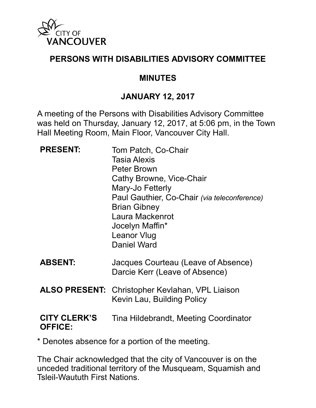

### **PERSONS WITH DISABILITIES ADVISORY COMMITTEE**

### **MINUTES**

### **JANUARY 12, 2017**

A meeting of the Persons with Disabilities Advisory Committee was held on Thursday, January 12, 2017, at 5:06 pm, in the Town Hall Meeting Room, Main Floor, Vancouver City Hall.

| <b>PRESENT:</b>                       | Tom Patch, Co-Chair<br><b>Tasia Alexis</b><br><b>Peter Brown</b><br>Cathy Browne, Vice-Chair<br>Mary-Jo Fetterly<br>Paul Gauthier, Co-Chair (via teleconference)<br><b>Brian Gibney</b><br>Laura Mackenrot<br>Jocelyn Maffin*<br><b>Leanor Vlug</b><br>Daniel Ward |
|---------------------------------------|--------------------------------------------------------------------------------------------------------------------------------------------------------------------------------------------------------------------------------------------------------------------|
| <b>ABSENT:</b>                        | Jacques Courteau (Leave of Absence)<br>Darcie Kerr (Leave of Absence)                                                                                                                                                                                              |
|                                       | <b>ALSO PRESENT:</b> Christopher Kevlahan, VPL Liaison<br>Kevin Lau, Building Policy                                                                                                                                                                               |
| <b>CITY CLERK'S</b><br><b>OFFICE:</b> | Tina Hildebrandt, Meeting Coordinator                                                                                                                                                                                                                              |

\* Denotes absence for a portion of the meeting.

The Chair acknowledged that the city of Vancouver is on the unceded traditional territory of the Musqueam, Squamish and Tsleil-Waututh First Nations.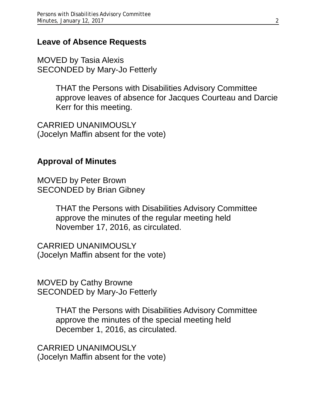#### **Leave of Absence Requests**

MOVED by Tasia Alexis SECONDED by Mary-Jo Fetterly

> THAT the Persons with Disabilities Advisory Committee approve leaves of absence for Jacques Courteau and Darcie Kerr for this meeting.

CARRIED UNANIMOUSLY (Jocelyn Maffin absent for the vote)

### **Approval of Minutes**

MOVED by Peter Brown SECONDED by Brian Gibney

> THAT the Persons with Disabilities Advisory Committee approve the minutes of the regular meeting held November 17, 2016, as circulated.

CARRIED UNANIMOUSLY (Jocelyn Maffin absent for the vote)

MOVED by Cathy Browne SECONDED by Mary-Jo Fetterly

> THAT the Persons with Disabilities Advisory Committee approve the minutes of the special meeting held December 1, 2016, as circulated.

CARRIED UNANIMOUSLY (Jocelyn Maffin absent for the vote)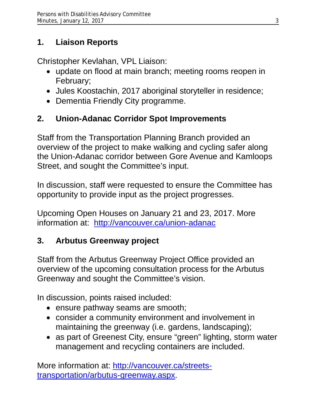# **1. Liaison Reports**

Christopher Kevlahan, VPL Liaison:

- update on flood at main branch; meeting rooms reopen in February;
- Jules Koostachin, 2017 aboriginal storyteller in residence;
- Dementia Friendly City programme.

# **2. Union-Adanac Corridor Spot Improvements**

Staff from the Transportation Planning Branch provided an overview of the project to make walking and cycling safer along the Union-Adanac corridor between Gore Avenue and Kamloops Street, and sought the Committee's input.

In discussion, staff were requested to ensure the Committee has opportunity to provide input as the project progresses.

Upcoming Open Houses on January 21 and 23, 2017. More information at: <http://vancouver.ca/union-adanac>

# **3. Arbutus Greenway project**

Staff from the Arbutus Greenway Project Office provided an overview of the upcoming consultation process for the Arbutus Greenway and sought the Committee's vision.

In discussion, points raised included:

- ensure pathway seams are smooth;
- consider a community environment and involvement in maintaining the greenway (i.e. gardens, landscaping);
- as part of Greenest City, ensure "green" lighting, storm water management and recycling containers are included.

More information at: [http://vancouver.ca/streets](http://vancouver.ca/streets-transportation/arbutus-greenway.aspx)[transportation/arbutus-greenway.aspx.](http://vancouver.ca/streets-transportation/arbutus-greenway.aspx)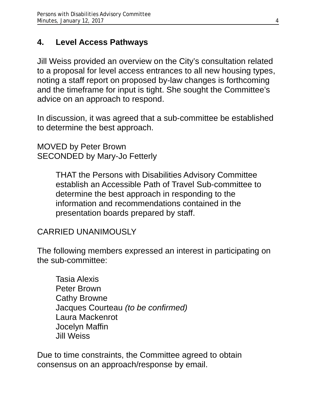### **4. Level Access Pathways**

Jill Weiss provided an overview on the City's consultation related to a proposal for level access entrances to all new housing types, noting a staff report on proposed by-law changes is forthcoming and the timeframe for input is tight. She sought the Committee's advice on an approach to respond.

In discussion, it was agreed that a sub-committee be established to determine the best approach.

MOVED by Peter Brown SECONDED by Mary-Jo Fetterly

> THAT the Persons with Disabilities Advisory Committee establish an Accessible Path of Travel Sub-committee to determine the best approach in responding to the information and recommendations contained in the presentation boards prepared by staff.

# CARRIED UNANIMOUSLY

The following members expressed an interest in participating on the sub-committee:

Tasia Alexis Peter Brown Cathy Browne Jacques Courteau *(to be confirmed)* Laura Mackenrot Jocelyn Maffin Jill Weiss

Due to time constraints, the Committee agreed to obtain consensus on an approach/response by email.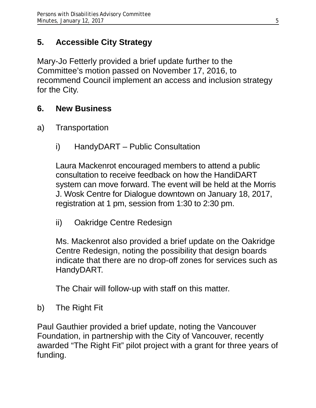# **5. Accessible City Strategy**

Mary-Jo Fetterly provided a brief update further to the Committee's motion passed on November 17, 2016, to recommend Council implement an access and inclusion strategy for the City.

# **6. New Business**

- a) Transportation
	- i) HandyDART Public Consultation

Laura Mackenrot encouraged members to attend a public consultation to receive feedback on how the HandiDART system can move forward. The event will be held at the Morris J. Wosk Centre for Dialogue downtown on January 18, 2017, registration at 1 pm, session from 1:30 to 2:30 pm.

ii) Oakridge Centre Redesign

Ms. Mackenrot also provided a brief update on the Oakridge Centre Redesign, noting the possibility that design boards indicate that there are no drop-off zones for services such as HandyDART.

The Chair will follow-up with staff on this matter.

b) The Right Fit

Paul Gauthier provided a brief update, noting the Vancouver Foundation, in partnership with the City of Vancouver, recently awarded "The Right Fit" pilot project with a grant for three years of funding.